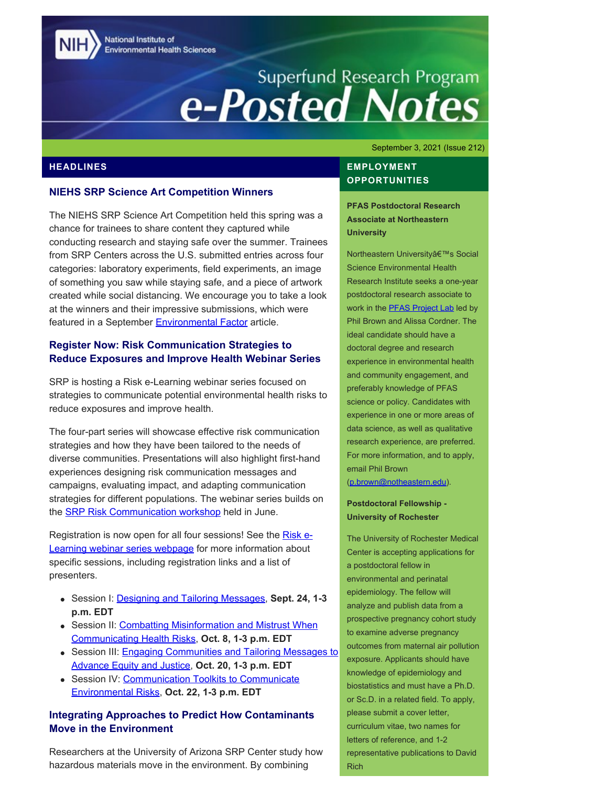National Institute of **Environmental Health Sciences** 

# Superfund Research Program<br> **e-Posted Notes**

#### **NIEHS SRP Science Art Competition Winners**

The NIEHS SRP Science Art Competition held this spring was a chance for trainees to share content they captured while conducting research and staying safe over the summer. Trainees from SRP Centers across the U.S. submitted entries across four categories: laboratory experiments, field experiments, an image of something you saw while staying safe, and a piece of artwork created while social distancing. We encourage you to take a look at the winners and their impressive submissions, which were featured in a September **[Environmental Factor](https://factor.niehs.nih.gov/2021/9/beyond-the-bench/scientific-art/index.htm)** article.

#### **Register Now: Risk Communication Strategies to Reduce Exposures and Improve Health Webinar Series**

SRP is hosting a Risk e-Learning webinar series focused on strategies to communicate potential environmental health risks to reduce exposures and improve health.

The four-part series will showcase effective risk communication strategies and how they have been tailored to the needs of diverse communities. Presentations will also highlight first-hand experiences designing risk communication messages and campaigns, evaluating impact, and adapting communication strategies for different populations. The webinar series builds on the **SRP Risk Communication workshop** held in June.

Registration is now open for all four sessions! See the [Risk e-](https://www.niehs.nih.gov/research/supported/centers/srp/events/riskelearning/reduce_exposures/index.cfm)[Learning webinar series webpage](https://www.niehs.nih.gov/research/supported/centers/srp/events/riskelearning/reduce_exposures/index.cfm) for more information about specific sessions, including registration links and a list of presenters.

- Session I: [Designing and Tailoring Messages](https://clu-in.org/conf/tio/SRPREIH1/), **Sept. 24, 1-3 p.m. EDT**
- Session II: [Combatting Misinformation and Mistrust When](https://clu-in.org/conf/tio/SRPREIH2/) [Communicating Health Risks](https://clu-in.org/conf/tio/SRPREIH2/), **Oct. 8, 1-3 p.m. EDT**
- Session III: [Engaging Communities and Tailoring Messages to](https://clu-in.org/conf/tio/SRPREIH3/) [Advance Equity and Justice](https://clu-in.org/conf/tio/SRPREIH3/), **Oct. 20, 1-3 p.m. EDT**
- Session IV: [Communication Toolkits to Communicate](https://clu-in.org/conf/tio/SRPREIH4/) [Environmental Risks,](https://clu-in.org/conf/tio/SRPREIH4/) **Oct. 22, 1-3 p.m. EDT**

#### **Integrating Approaches to Predict How Contaminants Move in the Environment**

Researchers at the University of Arizona SRP Center study how hazardous materials move in the environment. By combining

September 3, 2021 (Issue 212)

# **HEADLINES** EMPLOYMENT **OPPORTUNITIES**

**PFAS Postdoctoral Research Associate at Northeastern University** 

Northeastern University's Social Science Environmental Health Research Institute seeks a one-year postdoctoral research associate to work in the **[PFAS Project Lab](https://pfasproject.com/)** led by Phil Brown and Alissa Cordner. The ideal candidate should have a doctoral degree and research experience in environmental health and community engagement, and preferably knowledge of PFAS science or policy. Candidates with experience in one or more areas of data science, as well as qualitative research experience, are preferred. For more information, and to apply, email Phil Brown [\(p.brown@notheastern.edu](mailto:p.brown@notheastern.edu)).

#### **Postdoctoral Fellowship - University of Rochester**

The University of Rochester Medical Center is accepting applications for a postdoctoral fellow in environmental and perinatal epidemiology. The fellow will analyze and publish data from a prospective pregnancy cohort study to examine adverse pregnancy outcomes from maternal air pollution exposure. Applicants should have knowledge of epidemiology and biostatistics and must have a Ph.D. or Sc.D. in a related field. To apply, please submit a cover letter, curriculum vitae, two names for letters of reference, and 1-2 representative publications to David Rich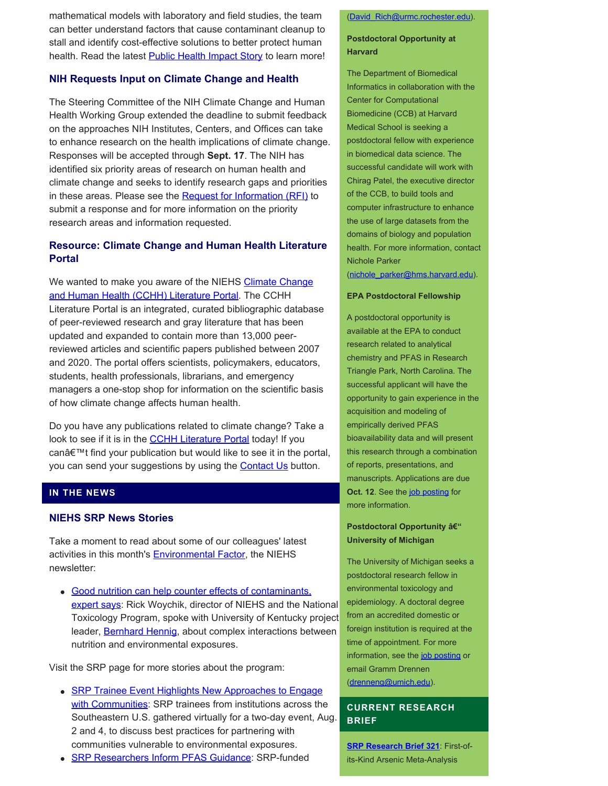mathematical models with laboratory and field studies, the team can better understand factors that cause contaminant cleanup to stall and identify cost-effective solutions to better protect human health. Read the latest **Public Health Impact Story** to learn more!

#### **NIH Requests Input on Climate Change and Health**

The Steering Committee of the NIH Climate Change and Human Health Working Group extended the deadline to submit feedback on the approaches NIH Institutes, Centers, and Offices can take to enhance research on the health implications of climate change. Responses will be accepted through **Sept. 17**. The NIH has identified six priority areas of research on human health and climate change and seeks to identify research gaps and priorities in these areas. Please see the [Request for Information \(RFI\)](https://grants.nih.gov/grants/guide/notice-files/NOT-ES-21-009.html) to submit a response and for more information on the priority research areas and information requested.

# **Resource: Climate Change and Human Health Literature Portal**

We wanted to make you aware of the NIEHS [Climate Change](https://tools.niehs.nih.gov/cchhl/) [and Human Health \(CCHH\) Literature Portal.](https://tools.niehs.nih.gov/cchhl/) The CCHH Literature Portal is an integrated, curated bibliographic database of peer-reviewed research and gray literature that has been updated and expanded to contain more than 13,000 peerreviewed articles and scientific papers published between 2007 and 2020. The portal offers scientists, policymakers, educators, students, health professionals, librarians, and emergency managers a one-stop shop for information on the scientific basis of how climate change affects human health.

Do you have any publications related to climate change? Take a look to see if it is in the **[CCHH Literature Portal](https://tools.niehs.nih.gov/cchhl/)** today! If you can't find your publication but would like to see it in the portal, you can send your suggestions by using the **[Contact Us](https://tools.niehs.nih.gov/cchhl/index.cfm?do=main.contact)** button.

#### **IN THE NEWS**

#### **NIEHS SRP News Stories**

Take a moment to read about some of our colleagues' latest activities in this month's **Environmental Factor**, the NIEHS newsletter:

• [Good nutrition can help counter effects of contaminants,](https://factor.niehs.nih.gov/2021/9/feature/4-feature-nutritional-interventions/index.htm)  [expert says:](https://factor.niehs.nih.gov/2021/9/feature/4-feature-nutritional-interventions/index.htm) Rick Woychik, director of NIEHS and the National Toxicology Program, spoke with University of Kentucky project leader, **Bernhard Hennig**, about complex interactions between nutrition and environmental exposures.

Visit the SRP page for more stories about the program:

- [SRP Trainee Event Highlights New Approaches to Engage](https://www.niehs.nih.gov/research/supported/centers/srp/news/2021news/engage/index.cfm) [with Communities:](https://www.niehs.nih.gov/research/supported/centers/srp/news/2021news/engage/index.cfm) SRP trainees from institutions across the Southeastern U.S. gathered virtually for a two-day event, Aug. 2 and 4, to discuss best practices for partnering with communities vulnerable to environmental exposures. **[SRP Research Brief 321](https://tools.niehs.nih.gov/srp/researchbriefs/view.cfm?Brief_ID=321)**: First-of-
- [SRP Researchers Inform PFAS Guidance:](https://www.niehs.nih.gov/research/supported/centers/srp/news/2021news/PFAS/index.cfm) SRP-funded its-Kind Arsenic Meta-Analysis

#### [\(David\\_Rich@urmc.rochester.edu\)](mailto:David_Rich@urmc.rochester.edu).

#### **Postdoctoral Opportunity at Harvard**

The Department of Biomedical Informatics in collaboration with the Center for Computational Biomedicine (CCB) at Harvard Medical School is seeking a postdoctoral fellow with experience in biomedical data science. The successful candidate will work with Chirag Patel, the executive director of the CCB, to build tools and computer infrastructure to enhance the use of large datasets from the domains of biology and population health. For more information, contact Nichole Parker

[\(nichole\\_parker@hms.harvard.edu](mailto:nichole_parker@hms.harvard.edu)).

#### **EPA Postdoctoral Fellowship**

A postdoctoral opportunity is available at the EPA to conduct research related to analytical chemistry and PFAS in Research Triangle Park, North Carolina. The successful applicant will have the opportunity to gain experience in the acquisition and modeling of empirically derived PFAS bioavailability data and will present this research through a combination of reports, presentations, and manuscripts. Applications are due **Oct. 12.** See the [job posting](https://www.zintellect.com/Opportunity/Details/EPA-ORD-CEMM-WECD-2021-05) for more information.

#### **Postdoctoral Opportunity – University of Michigan**

The University of Michigan seeks a postdoctoral research fellow in environmental toxicology and epidemiology. A doctoral degree from an accredited domestic or foreign institution is required at the time of appointment. For more information, see the [job posting](https://sph.umich.edu/ehs/etep/application.html) or email Gramm Drennen [\(drenneng@umich.edu](mailto:drenneng@umich.edu)).

#### **CURRENT RESEARCH BRIEF**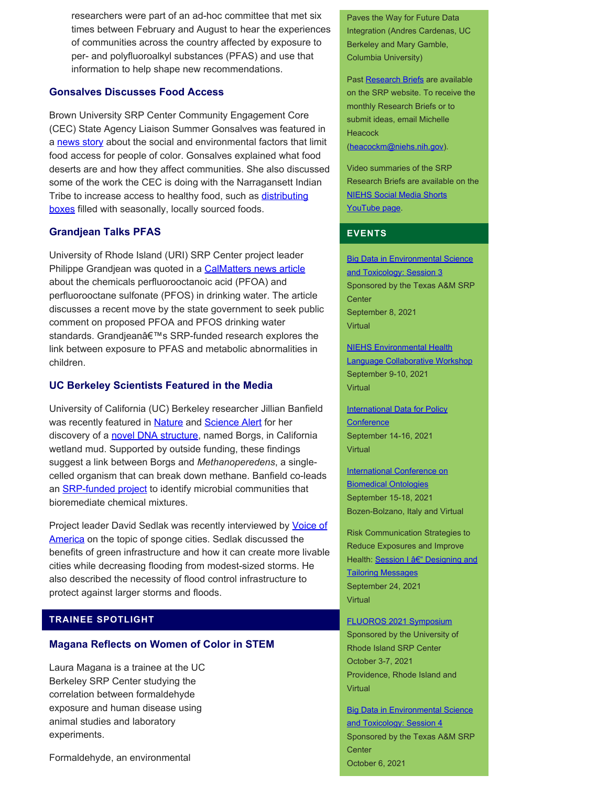researchers were part of an ad-hoc committee that met six times between February and August to hear the experiences of communities across the country affected by exposure to per- and polyfluoroalkyl substances (PFAS) and use that information to help shape new recommendations.

#### **Gonsalves Discusses Food Access**

Brown University SRP Center Community Engagement Core (CEC) State Agency Liaison Summer Gonsalves was featured in a [news story](https://www.ecori.org/farming/2021/8/13/history-shows-us-food-system-leaves-behind-people-of-color) about the social and environmental factors that limit food access for people of color. Gonsalves explained what food deserts are and how they affect communities. She also discussed some of the work the CEC is doing with the Narragansett Indian Tribe to increase access to healthy food, such as [distributing](https://publiclab.org/notes/srgonsalves1/12-03-2019/of-the-earth-harvest-boxes) [boxes](https://publiclab.org/notes/srgonsalves1/12-03-2019/of-the-earth-harvest-boxes) filled with seasonally, locally sourced foods.

#### **Grandjean Talks PFAS**

University of Rhode Island (URI) SRP Center project leader Philippe Grandjean was quoted in a [CalMatters news article](https://calmatters.org/environment/2021/07/california-goals-contaminated-drinking-water/) about the chemicals perfluorooctanoic acid (PFOA) and perfluorooctane sulfonate (PFOS) in drinking water. The article discusses a recent move by the state government to seek public comment on proposed PFOA and PFOS drinking water standards. Grandjean's SRP-funded research explores the link between exposure to PFAS and metabolic abnormalities in children.

#### **UC Berkeley Scientists Featured in the Media**

University of California (UC) Berkeley researcher Jillian Banfield was recently featured in **Nature** and **Science Alert** for her discovery of a [novel DNA structure](https://www.biorxiv.org/content/10.1101/2021.07.10.451761v1.full), named Borgs, in California wetland mud. Supported by outside funding, these findings suggest a link between Borgs and *Methanoperedens*, a singlecelled organism that can break down methane. Banfield co-leads an **SRP-funded project** to identify microbial communities that bioremediate chemical mixtures.

Project leader David Sedlak was recently interviewed by **Voice of** [America](https://www.voanews.com/east-asia-pacific/chinas-sponge-cities-absorb-rainwater-pushed-past-limits) on the topic of sponge cities. Sedlak discussed the benefits of green infrastructure and how it can create more livable cities while decreasing flooding from modest-sized storms. He also described the necessity of flood control infrastructure to protect against larger storms and floods.

#### **TRAINEE SPOTLIGHT**

#### **Magana Reflects on Women of Color in STEM**

Laura Magana is a trainee at the UC Berkeley SRP Center studying the correlation between formaldehyde exposure and human disease using animal studies and laboratory experiments.

Formaldehyde, an environmental

Paves the Way for Future Data Integration (Andres Cardenas, UC Berkeley and Mary Gamble, Columbia University)

Past [Research Briefs](http://tools.niehs.nih.gov/srp/researchbriefs/index.cfm) are available on the SRP website. To receive the monthly Research Briefs or to submit ideas, email Michelle **Heacock** [\(heacockm@niehs.nih.gov\)](mailto:heacockm@niehs.nih.gov).

Video summaries of the SRP Research Briefs are available on the [NIEHS Social Media Shorts](https://www.youtube.com/playlist?list=PLlo0xQLFI54GlGBHIWb3va3YrKAv16SZ8)  [YouTube page.](https://www.youtube.com/playlist?list=PLlo0xQLFI54GlGBHIWb3va3YrKAv16SZ8)

#### **EVENTS**

**[Big Data in Environmental Science](https://superfund.tamu.edu/big-data-session-3-sept-8-2021/)** and Toxicology: Session 3 Sponsored by the Texas A&M SRP **Center** September 8, 2021 Virtual

[NIEHS Environmental Health](https://tools.niehs.nih.gov/conference/ehslanguage/)  [Language Collaborative Workshop](https://tools.niehs.nih.gov/conference/ehslanguage/) September 9-10, 2021 Virtual

**International Data for Policy [Conference](https://dataforpolicy.org/data-for-policy-2021/)** September 14-16, 2021 Virtual

#### [International Conference on](https://icbo2021.inf.unibz.it/) [Biomedical Ontologies](https://icbo2021.inf.unibz.it/)  September 15-18, 2021 Bozen-Bolzano, Italy and Virtual

Risk Communication Strategies to Reduce Exposures and Improve Health: [Session I – Designing and](https://clu-in.org/conf/tio/SRPREIH1/) [Tailoring Messages](https://clu-in.org/conf/tio/SRPREIH1/) September 24, 2021 Virtual

[FLUOROS 2021 Symposium](https://web.uri.edu/fluoros/)  Sponsored by the University of Rhode Island SRP Center October 3-7, 2021 Providence, Rhode Island and Virtual

**Big Data in Environmental Science** [and Toxicology: Session 4](https://superfund.tamu.edu/big-data-session-4-oct-6-2021/)  Sponsored by the Texas A&M SRP **Center** October 6, 2021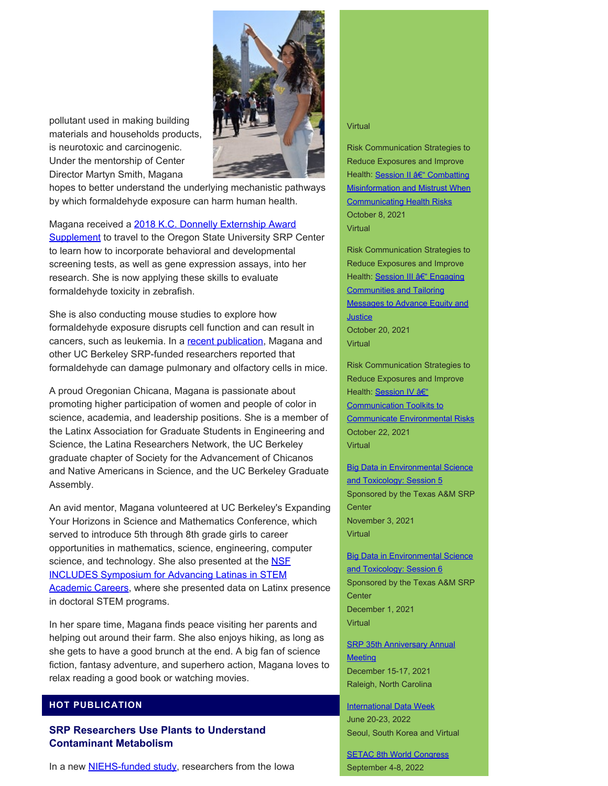



hopes to better understand the underlying mechanistic pathways by which formaldehyde exposure can harm human health.

Magana received a [2018 K.C. Donnelly Externship Award](https://www.niehs.nih.gov/research/supported/centers/srp/training/donnelly/2018winners/index.cfm) **Supplement** to travel to the Oregon State University SRP Center to learn how to incorporate behavioral and developmental screening tests, as well as gene expression assays, into her research. She is now applying these skills to evaluate formaldehyde toxicity in zebrafish.

She is also conducting mouse studies to explore how formaldehyde exposure disrupts cell function and can result in cancers, such as leukemia. In a [recent publication](https://pubmed.ncbi.nlm.nih.gov/33084937/), Magana and other UC Berkeley SRP-funded researchers reported that formaldehyde can damage pulmonary and olfactory cells in mice.

A proud Oregonian Chicana, Magana is passionate about promoting higher participation of women and people of color in science, academia, and leadership positions. She is a member of the Latinx Association for Graduate Students in Engineering and Science, the Latina Researchers Network, the UC Berkeley graduate chapter of Society for the Advancement of Chicanos and Native Americans in Science, and the UC Berkeley Graduate Assembly.

An avid mentor, Magana volunteered at UC Berkeley's Expanding Your Horizons in Science and Mathematics Conference, which served to introduce 5th through 8th grade girls to career opportunities in mathematics, science, engineering, computer science, and technology. She also presented at the **NSF** [INCLUDES Symposium for Advancing Latinas in STEM](https://www.youtube.com/watch?v=7pEfoucE-7w&list=PL4vbN740RguinTxkqpPKUV2sd5f41RupK&index=8)  [Academic Careers,](https://www.youtube.com/watch?v=7pEfoucE-7w&list=PL4vbN740RguinTxkqpPKUV2sd5f41RupK&index=8) where she presented data on Latinx presence in doctoral STEM programs.

In her spare time, Magana finds peace visiting her parents and helping out around their farm. She also enjoys hiking, as long as she gets to have a good brunch at the end. A big fan of science fiction, fantasy adventure, and superhero action, Magana loves to relax reading a good book or watching movies.

#### **HOT PUBLICATION**

**SRP Researchers Use Plants to Understand Contaminant Metabolism** 

In a new **NIEHS-funded study**, researchers from the Iowa

#### Virtual

Risk Communication Strategies to Reduce Exposures and Improve Health: [Session II – Combatting](https://clu-in.org/conf/tio/SRPREIH2/) [Misinformation and Mistrust When](https://clu-in.org/conf/tio/SRPREIH2/)  **Communicating Health Risks** October 8, 2021 Virtual

Risk Communication Strategies to Reduce Exposures and Improve Health: [Session III – Engaging](https://clu-in.org/conf/tio/SRPREIH3/) [Communities and Tailoring](https://clu-in.org/conf/tio/SRPREIH3/)  [Messages to Advance Equity and](https://clu-in.org/conf/tio/SRPREIH3/)  **Justice** October 20, 2021 Virtual

Risk Communication Strategies to Reduce Exposures and Improve Health: [Session IV –](https://clu-in.org/conf/tio/SRPREIH4/) [Communication Toolkits to](https://clu-in.org/conf/tio/SRPREIH4/)  [Communicate Environmental Risks](https://clu-in.org/conf/tio/SRPREIH4/)  October 22, 2021 **Virtual** 

**Big Data in Environmental Science** and Toxicology: Session 5 Sponsored by the Texas A&M SRP **Center** November 3, 2021 **Virtual** 

**Big Data in Environmental Science** [and Toxicology: Session 6](https://superfund.tamu.edu/big-data-session-6-dec-1-2021/)  Sponsored by the Texas A&M SRP **Center** December 1, 2021 Virtual

**SRP 35th Anniversary Annual Meeting** December 15-17, 2021 Raleigh, North Carolina

**International Data Week** June 20-23, 2022 Seoul, South Korea and Virtual

**[SETAC 8th World Congress](https://singapore.setac.org/)** September 4-8, 2022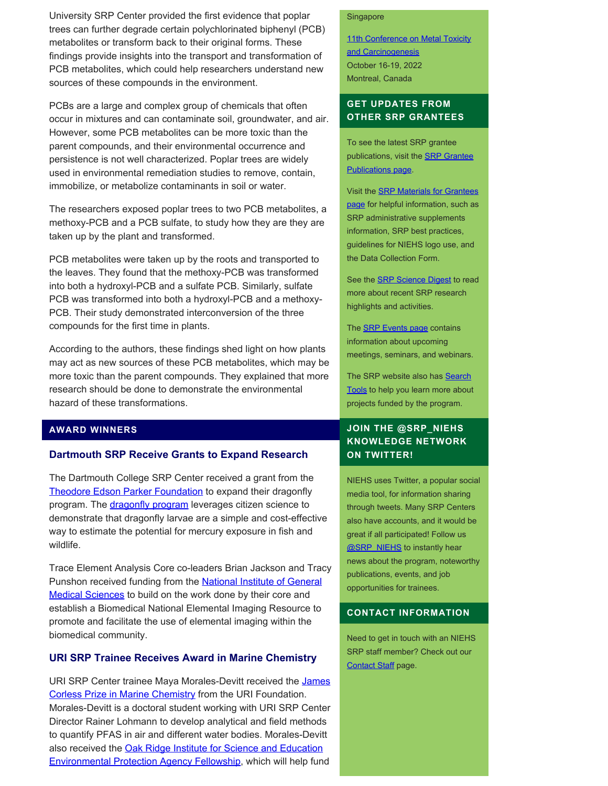University SRP Center provided the first evidence that poplar trees can further degrade certain polychlorinated biphenyl (PCB) metabolites or transform back to their original forms. These findings provide insights into the transport and transformation of PCB metabolites, which could help researchers understand new sources of these compounds in the environment.

PCBs are a large and complex group of chemicals that often occur in mixtures and can contaminate soil, groundwater, and air. However, some PCB metabolites can be more toxic than the parent compounds, and their environmental occurrence and persistence is not well characterized. Poplar trees are widely used in environmental remediation studies to remove, contain, immobilize, or metabolize contaminants in soil or water.

The researchers exposed poplar trees to two PCB metabolites, a methoxy-PCB and a PCB sulfate, to study how they are they are taken up by the plant and transformed.

PCB metabolites were taken up by the roots and transported to the leaves. They found that the methoxy-PCB was transformed into both a hydroxyl-PCB and a sulfate PCB. Similarly, sulfate PCB was transformed into both a hydroxyl-PCB and a methoxy-PCB. Their study demonstrated interconversion of the three compounds for the first time in plants.

According to the authors, these findings shed light on how plants may act as new sources of these PCB metabolites, which may be more toxic than the parent compounds. They explained that more research should be done to demonstrate the environmental hazard of these transformations.

#### **AWARD WINNERS**

#### **Dartmouth SRP Receive Grants to Expand Research**

The Dartmouth College SRP Center received a grant from the [Theodore Edson Parker Foundation](https://www.parkerfoundationlowell.org/) to expand their dragonfly program. The *dragonfly program* leverages citizen science to demonstrate that dragonfly larvae are a simple and cost-effective way to estimate the potential for mercury exposure in fish and wildlife.

Trace Element Analysis Core co-leaders Brian Jackson and Tracy Punshon received funding from the **National Institute of General** [Medical Sciences](https://www.nigms.nih.gov/) to build on the work done by their core and establish a Biomedical National Elemental Imaging Resource to promote and facilitate the use of elemental imaging within the biomedical community.

#### **URI SRP Trainee Receives Award in Marine Chemistry**

URI SRP Center trainee Maya Morales-Devitt received the James [Corless Prize in Marine Chemistry](https://uri.academicworks.com/opportunities/7513) from the URI Foundation. Morales-Devitt is a doctoral student working with URI SRP Center Director Rainer Lohmann to develop analytical and field methods to quantify PFAS in air and different water bodies. Morales-Devitt also received the [Oak Ridge Institute for Science and Education](https://orise.orau.gov/epa/) [Environmental Protection Agency Fellowship,](https://orise.orau.gov/epa/) which will help fund

#### Singapore

11th Conference on Metal Toxicity [and Carcinogenesis](https://www.fourwav.es/view/1725/info/)  October 16-19, 2022 Montreal, Canada

### **GET UPDATES FROM OTHER SRP GRANTEES**

To see the latest SRP grantee publications, visit the **SRP Grantee** [Publications page.](https://tools.niehs.nih.gov/srp/publications/granteepublications.cfm)

Visit the [SRP Materials for Grantees](https://www.niehs.nih.gov/research/supported/centers/srp/resources/index.cfm) [page](https://www.niehs.nih.gov/research/supported/centers/srp/resources/index.cfm) for helpful information, such as SRP administrative supplements information, SRP best practices, guidelines for NIEHS logo use, and the Data Collection Form.

See the **SRP Science Digest** to read more about recent SRP research highlights and activities.

The **SRP Events page** contains information about upcoming meetings, seminars, and webinars.

The SRP website also has Search [Tools](http://tools.niehs.nih.gov/srp/search/index.cfm) to help you learn more about projects funded by the program.

# **JOIN THE @SRP\_NIEHS KNOWLEDGE NETWORK ON TWITTER!**

NIEHS uses Twitter, a popular social media tool, for information sharing through tweets. Many SRP Centers also have accounts, and it would be great if all participated! Follow us [@SRP\\_NIEHS](https://twitter.com/SRP_NIEHS) to instantly hear news about the program, noteworthy publications, events, and job opportunities for trainees.

#### **CONTACT INFORMATION**

Need to get in touch with an NIEHS SRP staff member? Check out our [Contact Staff](https://www.niehs.nih.gov/research/supported/centers/srp/about/contact_us/index.cfm) page.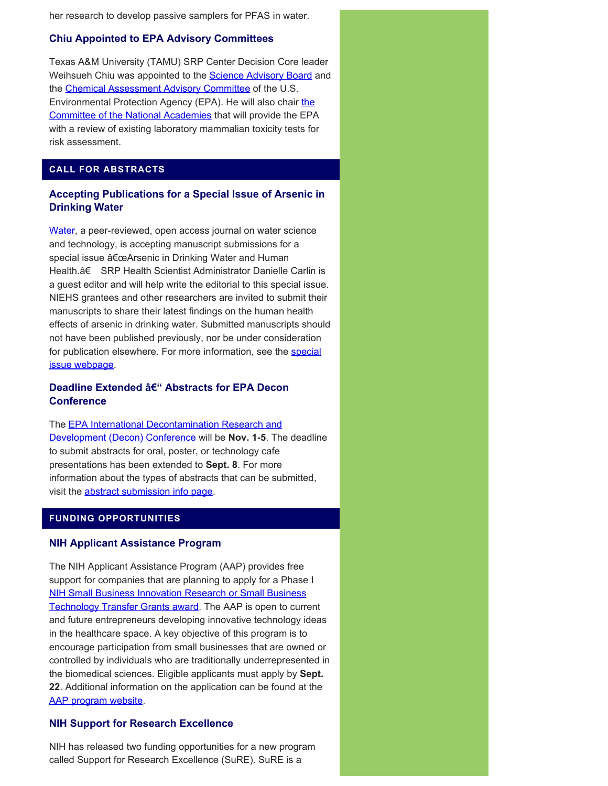her research to develop passive samplers for PFAS in water.

#### **Chiu Appointed to EPA Advisory Committees**

Texas A&M University (TAMU) SRP Center Decision Core leader Weihsueh Chiu was appointed to the **Science Advisory Board** and the [Chemical Assessment Advisory Committee](https://yosemite.epa.gov/sab/sabpeople.nsf/WebCommitteesSubcommittees/Chemical%20Assessment%20Advisory%20Committee#:~:text=The%20SAB%20Chemical%20Assessment%20Advisory,of%20environmental%20chemicals%20available%20on) of the U.S. Environmental Protection Agency (EPA). He will also chair [the](https://www.nationalacademies.org/our-work/variability-and-relevance-of-current-laboratory-mammalian-toxicity-tests-and-expectations-for-new-approach-methods--nams--for-use-in-human-health-risk-assessment#sectionCommittee) [Committee of the National Academies](https://www.nationalacademies.org/our-work/variability-and-relevance-of-current-laboratory-mammalian-toxicity-tests-and-expectations-for-new-approach-methods--nams--for-use-in-human-health-risk-assessment#sectionCommittee) that will provide the EPA with a review of existing laboratory mammalian toxicity tests for risk assessment.

# **CALL FOR ABSTRACTS**

# **Accepting Publications for a Special Issue of Arsenic in Drinking Water**

[Water,](https://www.mdpi.com/journal/water) a peer-reviewed, open access journal on water science and technology, is accepting manuscript submissions for a special issue "Arsenic in Drinking Water and Human Health.†SRP Health Scientist Administrator Danielle Carlin is a guest editor and will help write the editorial to this special issue. NIEHS grantees and other researchers are invited to submit their manuscripts to share their latest findings on the human health effects of arsenic in drinking water. Submitted manuscripts should not have been published previously, nor be under consideration for publication elsewhere. For more information, see the [special](https://www.mdpi.com/journal/water/special_issues/arsenic_water_health) [issue webpage.](https://www.mdpi.com/journal/water/special_issues/arsenic_water_health)

# **Deadline Extended – Abstracts for EPA Decon Conference**

# The [EPA International Decontamination Research and](https://www.epa.gov/emergency-response-research/2021-decon-conference) [Development \(Decon\) Conference](https://www.epa.gov/emergency-response-research/2021-decon-conference) will be **Nov. 1-5**. The deadline to submit abstracts for oral, poster, or technology cafe presentations has been extended to **Sept. 8**. For more information about the types of abstracts that can be submitted, visit the [abstract submission info page](https://www.epa.gov/emergency-response-research/abstract-submissions-2021-decon-conference).

#### **FUNDING OPPORTUNITIES**

#### **NIH Applicant Assistance Program**

The NIH Applicant Assistance Program (AAP) provides free support for companies that are planning to apply for a Phase I [NIH Small Business Innovation Research or Small Business](https://www.niehs.nih.gov/funding/grants/mechanisms/sbir/index.cfm)  [Technology Transfer Grants award](https://www.niehs.nih.gov/funding/grants/mechanisms/sbir/index.cfm). The AAP is open to current and future entrepreneurs developing innovative technology ideas in the healthcare space. A key objective of this program is to encourage participation from small businesses that are owned or controlled by individuals who are traditionally underrepresented in the biomedical sciences. Eligible applicants must apply by **Sept. 22**. Additional information on the application can be found at the [AAP program website.](https://www.evagarland.com/nih-aap-cover-page/)

#### **NIH Support for Research Excellence**

NIH has released two funding opportunities for a new program called Support for Research Excellence (SuRE). SuRE is a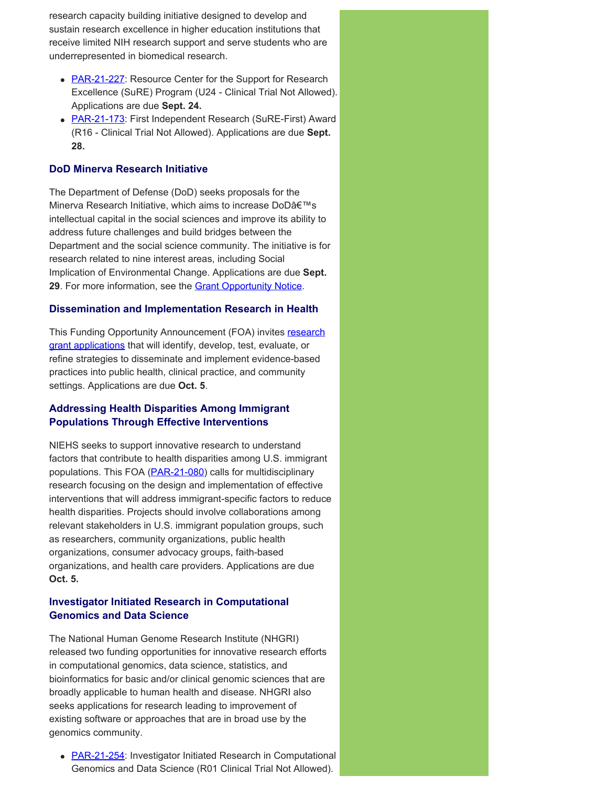research capacity building initiative designed to develop and sustain research excellence in higher education institutions that receive limited NIH research support and serve students who are underrepresented in biomedical research.

- **[PAR-21-227](https://grants.nih.gov/grants/guide/pa-files/PAR-21-227.html):** Resource Center for the Support for Research Excellence (SuRE) Program (U24 - Clinical Trial Not Allowed). Applications are due **Sept. 24.**
- **[PAR-21-173](https://grants.nih.gov/grants/guide/pa-files/par-21-173.html):** First Independent Research (SuRE-First) Award (R16 - Clinical Trial Not Allowed). Applications are due **Sept. 28.**

#### **DoD Minerva Research Initiative**

The Department of Defense (DoD) seeks proposals for the Minerva Research Initiative, which aims to increase DoD's intellectual capital in the social sciences and improve its ability to address future challenges and build bridges between the Department and the social science community. The initiative is for research related to nine interest areas, including Social Implication of Environmental Change. Applications are due **Sept.**  29. For more information, see the **Grant Opportunity Notice**.

#### **Dissemination and Implementation Research in Health**

This Funding Opportunity Announcement (FOA) invites research [grant applications](https://grants.nih.gov/grants/guide/pa-files/PAR-19-274.html) that will identify, develop, test, evaluate, or refine strategies to disseminate and implement evidence-based practices into public health, clinical practice, and community settings. Applications are due **Oct. 5**.

#### **Addressing Health Disparities Among Immigrant Populations Through Effective Interventions**

NIEHS seeks to support innovative research to understand factors that contribute to health disparities among U.S. immigrant populations. This FOA ([PAR-21-080](https://grants.nih.gov/grants/guide/pa-files/PAR-21-080.html)) calls for multidisciplinary research focusing on the design and implementation of effective interventions that will address immigrant-specific factors to reduce health disparities. Projects should involve collaborations among relevant stakeholders in U.S. immigrant population groups, such as researchers, community organizations, public health organizations, consumer advocacy groups, faith-based organizations, and health care providers. Applications are due **Oct. 5.** 

#### **Investigator Initiated Research in Computational Genomics and Data Science**

The National Human Genome Research Institute (NHGRI) released two funding opportunities for innovative research efforts in computational genomics, data science, statistics, and bioinformatics for basic and/or clinical genomic sciences that are broadly applicable to human health and disease. NHGRI also seeks applications for research leading to improvement of existing software or approaches that are in broad use by the genomics community.

• **[PAR-21-254](https://grants.nih.gov/grants/guide/pa-files/PAR-21-254.html):** Investigator Initiated Research in Computational Genomics and Data Science (R01 Clinical Trial Not Allowed).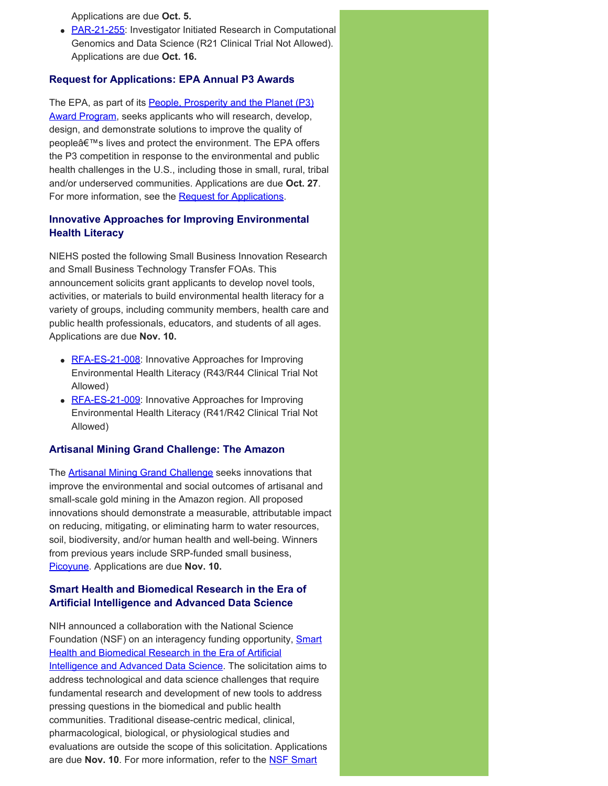Applications are due **Oct. 5.** 

• [PAR-21-255](https://grants.nih.gov/grants/guide/pa-files/PAR-21-255.html): Investigator Initiated Research in Computational Genomics and Data Science (R21 Clinical Trial Not Allowed). Applications are due **Oct. 16.** 

#### **Request for Applications: EPA Annual P3 Awards**

The EPA, as part of its [People, Prosperity and the Planet \(P3\)](https://www.epa.gov/P3) [Award Program,](https://www.epa.gov/P3) seeks applicants who will research, develop, design, and demonstrate solutions to improve the quality of people's lives and protect the environment. The EPA offers the P3 competition in response to the environmental and public health challenges in the U.S., including those in small, rural, tribal and/or underserved communities. Applications are due **Oct. 27**. For more information, see the [Request for Applications](https://www.epa.gov/research-grants/19th-annual-p3-awards-national-student-design-competition-focusing-people).

# **Innovative Approaches for Improving Environmental Health Literacy**

NIEHS posted the following Small Business Innovation Research and Small Business Technology Transfer FOAs. This announcement solicits grant applicants to develop novel tools, activities, or materials to build environmental health literacy for a variety of groups, including community members, health care and public health professionals, educators, and students of all ages. Applications are due **Nov. 10.** 

- [RFA-ES-21-008](https://grants.nih.gov/grants/guide/rfa-files/RFA-ES-21-008.html): Innovative Approaches for Improving Environmental Health Literacy (R43/R44 Clinical Trial Not Allowed)
- [RFA-ES-21-009](https://grants.nih.gov/grants/guide/rfa-files/rfa-es-21-009.html): Innovative Approaches for Improving Environmental Health Literacy (R41/R42 Clinical Trial Not Allowed)

#### **Artisanal Mining Grand Challenge: The Amazon**

The **Artisanal Mining Grand Challenge** seeks innovations that improve the environmental and social outcomes of artisanal and small-scale gold mining in the Amazon region. All proposed innovations should demonstrate a measurable, attributable impact on reducing, mitigating, or eliminating harm to water resources, soil, biodiversity, and/or human health and well-being. Winners from previous years include SRP-funded small business, [Picoyune.](https://www.niehs.nih.gov/research/supported/centers/srp/science_digest/2020/12/technology/index.cfm) Applications are due **Nov. 10.** 

# **Smart Health and Biomedical Research in the Era of Artificial Intelligence and Advanced Data Science**

NIH announced a collaboration with the National Science Foundation (NSF) on an interagency funding opportunity, **Smart** [Health and Biomedical Research in the Era of Artificial](https://grants.nih.gov/grants/guide/notice-files/NOT-OD-21-011.html)  Intelligence and Advanced Data Science</u>. The solicitation aims to address technological and data science challenges that require fundamental research and development of new tools to address pressing questions in the biomedical and public health communities. Traditional disease-centric medical, clinical, pharmacological, biological, or physiological studies and evaluations are outside the scope of this solicitation. Applications are due **Nov. 10**. For more information, refer to the [NSF Smart](https://www.nsf.gov/pubs/2021/nsf21530/nsf21530.htm)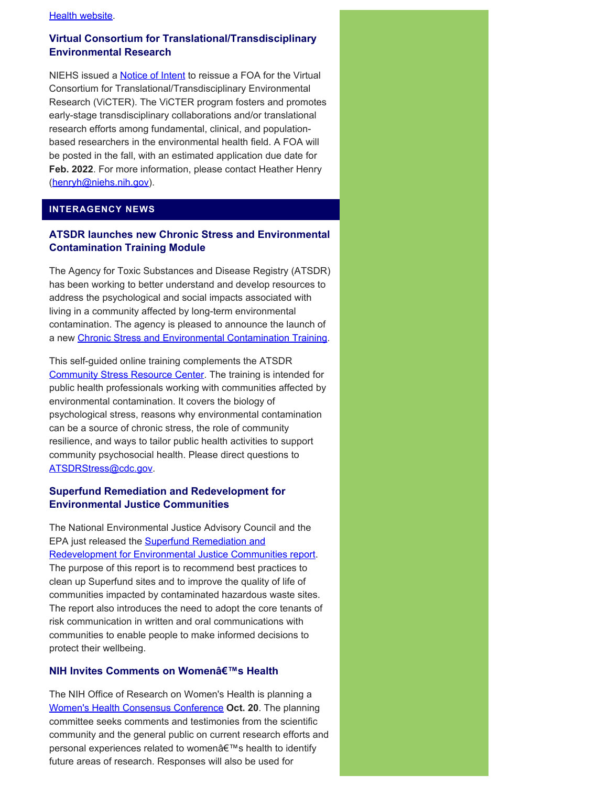#### **[Health website.](https://www.nsf.gov/pubs/2021/nsf21530/nsf21530.htm)**

# **Virtual Consortium for Translational/Transdisciplinary Environmental Research**

NIEHS issued a [Notice of Intent](https://grants.nih.gov/grants/guide/notice-files/NOT-ES-21-008.html) to reissue a FOA for the Virtual Consortium for Translational/Transdisciplinary Environmental Research (ViCTER). The ViCTER program fosters and promotes early-stage transdisciplinary collaborations and/or translational research efforts among fundamental, clinical, and populationbased researchers in the environmental health field. A FOA will be posted in the fall, with an estimated application due date for **Feb. 2022**. For more information, please contact Heather Henry ([henryh@niehs.nih.gov\)](mailto:henryh@niehs.nih.gov).

# **INTERAGENCY NEWS**

# **ATSDR launches new Chronic Stress and Environmental Contamination Training Module**

The Agency for Toxic Substances and Disease Registry (ATSDR) has been working to better understand and develop resources to address the psychological and social impacts associated with living in a community affected by long-term environmental contamination. The agency is pleased to announce the launch of a new [Chronic Stress and Environmental Contamination Training](https://www.atsdr.cdc.gov/stress/stress_training_module.html).

This self-guided online training complements the ATSDR [Community Stress Resource Center.](https://www.atsdr.cdc.gov/stress/index.html) The training is intended for public health professionals working with communities affected by environmental contamination. It covers the biology of psychological stress, reasons why environmental contamination can be a source of chronic stress, the role of community resilience, and ways to tailor public health activities to support community psychosocial health. Please direct questions to [ATSDRStress@cdc.gov.](mailto:ATSDRStress@cdc.gov)

# **Superfund Remediation and Redevelopment for Environmental Justice Communities**

The National Environmental Justice Advisory Council and the EPA just released the [Superfund Remediation and](https://www.epa.gov/environmentaljustice/superfund-remediation-and-redevelopment-environmental-justice-communities) [Redevelopment for Environmental Justice Communities report.](https://www.epa.gov/environmentaljustice/superfund-remediation-and-redevelopment-environmental-justice-communities) The purpose of this report is to recommend best practices to clean up Superfund sites and to improve the quality of life of communities impacted by contaminated hazardous waste sites. The report also introduces the need to adopt the core tenants of risk communication in written and oral communications with communities to enable people to make informed decisions to protect their wellbeing.

# **NIH Invites Comments on Women's Health**

The NIH Office of Research on Women's Health is planning a [Women's Health Consensus Conference](https://orwh.od.nih.gov/research/2021-womens-health-research-conference) **Oct. 20**. The planning committee seeks comments and testimonies from the scientific community and the general public on current research efforts and personal experiences related to women's health to identify future areas of research. Responses will also be used for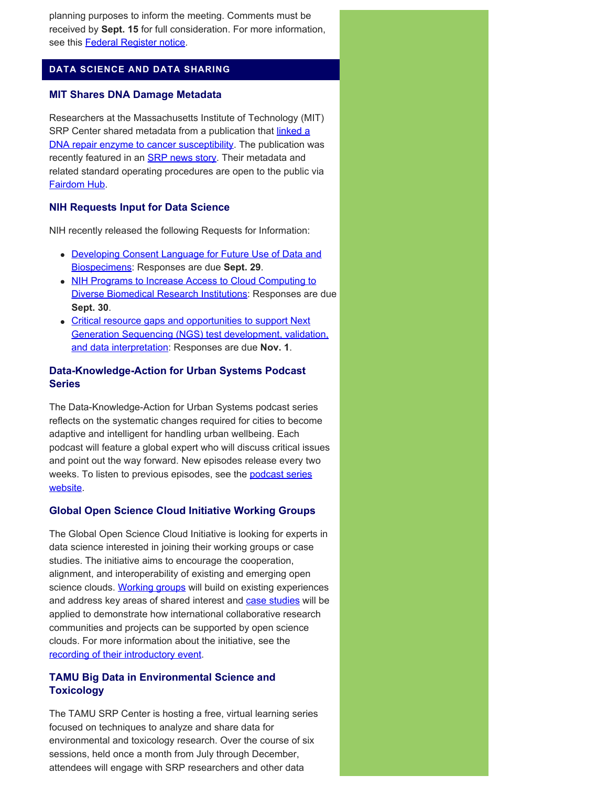planning purposes to inform the meeting. Comments must be received by **Sept. 15** for full consideration. For more information, see this [Federal Register notice.](https://www.federalregister.gov/documents/2021/07/01/2021-14151/request-for-information-inviting-comments-to-inform-the-womens-health-consensus-conference-whcc)

#### **DATA SCIENCE AND DATA SHARING**

#### **MIT Shares DNA Damage Metadata**

Researchers at the Massachusetts Institute of Technology (MIT) SRP Center shared metadata from a publication that [linked a](https://pubmed.ncbi.nlm.nih.gov/33730582/) [DNA repair enzyme to cancer susceptibility](https://pubmed.ncbi.nlm.nih.gov/33730582/). The publication was recently featured in an **[SRP news story](https://www.niehs.nih.gov/research/supported/centers/srp/news/2021news/dna/index.cfm)**. Their metadata and related standard operating procedures are open to the public via [Fairdom Hub.](https://fairdomhub.org/projects/221)

#### **NIH Requests Input for Data Science**

NIH recently released the following Requests for Information:

- [Developing Consent Language for Future Use of Data and](https://datascience.nih.gov/news/nih-requests-information-on-developing-consent-language-for-future-use-of-data-and-biospecimens) [Biospecimens](https://datascience.nih.gov/news/nih-requests-information-on-developing-consent-language-for-future-use-of-data-and-biospecimens): Responses are due **Sept. 29**.
- [NIH Programs to Increase Access to Cloud Computing to](https://datascience.nih.gov/news/rfi-cloud-compute-diverse-institutions) [Diverse Biomedical Research Institutions](https://datascience.nih.gov/news/rfi-cloud-compute-diverse-institutions): Responses are due **Sept. 30**.
- [Critical resource gaps and opportunities to support Next](https://grants.nih.gov/grants/guide/notice-files/NOT-OD-21-162.html) [Generation Sequencing \(NGS\) test development, validation,](https://grants.nih.gov/grants/guide/notice-files/NOT-OD-21-162.html) [and data interpretation:](https://grants.nih.gov/grants/guide/notice-files/NOT-OD-21-162.html) Responses are due **Nov. 1**.

### **Data-Knowledge-Action for Urban Systems Podcast Series**

The Data-Knowledge-Action for Urban Systems podcast series reflects on the systematic changes required for cities to become adaptive and intelligent for handling urban wellbeing. Each podcast will feature a global expert who will discuss critical issues and point out the way forward. New episodes release every two weeks. To listen to previous episodes, see the **podcast series** [website.](https://codata.org/initiatives/data-skills/codata-connect/cag-cept-codata-and-uhwb-podcast-series-on-data-knowledge-action-for-urban-systems/)

#### **Global Open Science Cloud Initiative Working Groups**

The Global Open Science Cloud Initiative is looking for experts in data science interested in joining their working groups or case studies. The initiative aims to encourage the cooperation, alignment, and interoperability of existing and emerging open science clouds. [Working groups](https://codata.org/initiatives/decadal-programme2/global-open-science-cloud/working-groups/) will build on existing experiences and address key areas of shared interest and [case studies](https://codata.org/initiatives/decadal-programme2/global-open-science-cloud/case-studies/) will be applied to demonstrate how international collaborative research communities and projects can be supported by open science clouds. For more information about the initiative, see the [recording of their introductory event.](https://codata.org/initiatives/decadal-programme2/global-open-science-cloud/gosc-introduction-event/)

# **TAMU Big Data in Environmental Science and Toxicology**

The TAMU SRP Center is hosting a free, virtual learning series focused on techniques to analyze and share data for environmental and toxicology research. Over the course of six sessions, held once a month from July through December, attendees will engage with SRP researchers and other data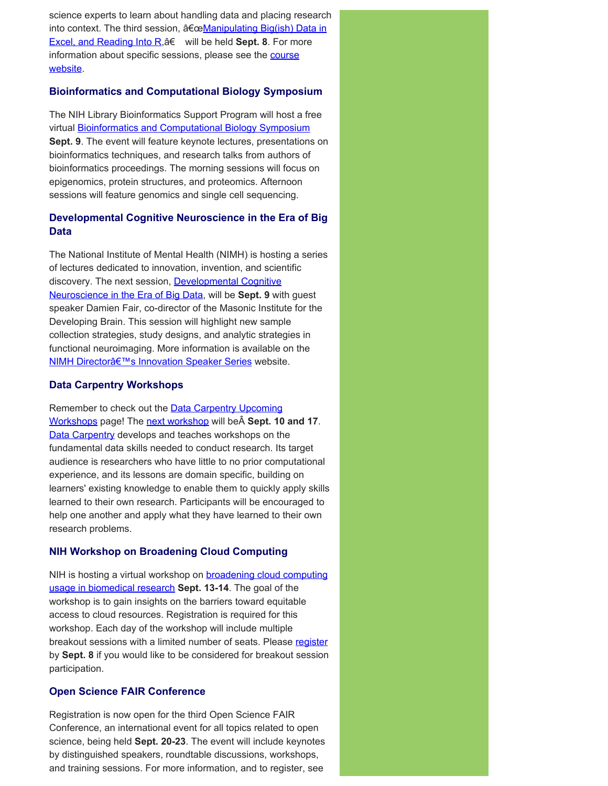science experts to learn about handling data and placing research into context. The third session, "Manipulating Big(ish) Data in **[Excel, and Reading Into R,](https://superfund.tamu.edu/big-data-session-3-sept-8-2021/) a€** will be held **Sept. 8**. For more information about specific sessions, please see the **course** [website.](https://superfund.tamu.edu/big-data-series-2021/)

#### **Bioinformatics and Computational Biology Symposium**

The NIH Library Bioinformatics Support Program will host a free virtual [Bioinformatics and Computational Biology Symposium](https://www.nihlibrary.nih.gov/services/bioinformatics-support/BioSymp21) **Sept. 9**. The event will feature keynote lectures, presentations on bioinformatics techniques, and research talks from authors of bioinformatics proceedings. The morning sessions will focus on epigenomics, protein structures, and proteomics. Afternoon sessions will feature genomics and single cell sequencing.

# **Developmental Cognitive Neuroscience in the Era of Big Data**

The National Institute of Mental Health (NIMH) is hosting a series of lectures dedicated to innovation, invention, and scientific discovery. The next session, [Developmental Cognitive](https://www.nimh.nih.gov/news/events/announcements/the-nimh-directors-innovation-speaker-series-developmental-cognitive-neuroscience-in-the-era-of-big-data) [Neuroscience in the Era of Big Data,](https://www.nimh.nih.gov/news/events/announcements/the-nimh-directors-innovation-speaker-series-developmental-cognitive-neuroscience-in-the-era-of-big-data) will be **Sept. 9** with guest speaker Damien Fair, co-director of the Masonic Institute for the Developing Brain. This session will highlight new sample collection strategies, study designs, and analytic strategies in functional neuroimaging. More information is available on the [NIMH Director's Innovation Speaker Series](https://www.nimh.nih.gov/news/innovation-speaker-series) website.

# **Data Carpentry Workshops**

Remember to check out the **Data Carpentry Upcoming** [Workshops](https://datacarpentry.org/workshops-upcoming/) page! The [next workshop](https://jgarciamesa.github.io/2021-09-10-asu-online/) will be **Sept. 10 and 17**. **Data Carpentry** develops and teaches workshops on the fundamental data skills needed to conduct research. Its target audience is researchers who have little to no prior computational experience, and its lessons are domain specific, building on learners' existing knowledge to enable them to quickly apply skills learned to their own research. Participants will be encouraged to help one another and apply what they have learned to their own research problems.

#### **NIH Workshop on Broadening Cloud Computing**

NIH is hosting a virtual workshop on **broadening cloud computing** [usage in biomedical research](https://web.cvent.com/event/1810b41e-ffaa-4466-b607-3ddea288d545/summary) **Sept. 13-14**. The goal of the workshop is to gain insights on the barriers toward equitable access to cloud resources. Registration is required for this workshop. Each day of the workshop will include multiple breakout sessions with a limited number of seats. Please [register](https://web.cvent.com/event/1810b41e-ffaa-4466-b607-3ddea288d545/regProcessStep1) by **Sept. 8** if you would like to be considered for breakout session participation.

#### **Open Science FAIR Conference**

Registration is now open for the third Open Science FAIR Conference, an international event for all topics related to open science, being held **Sept. 20-23**. The event will include keynotes by distinguished speakers, roundtable discussions, workshops, and training sessions. For more information, and to register, see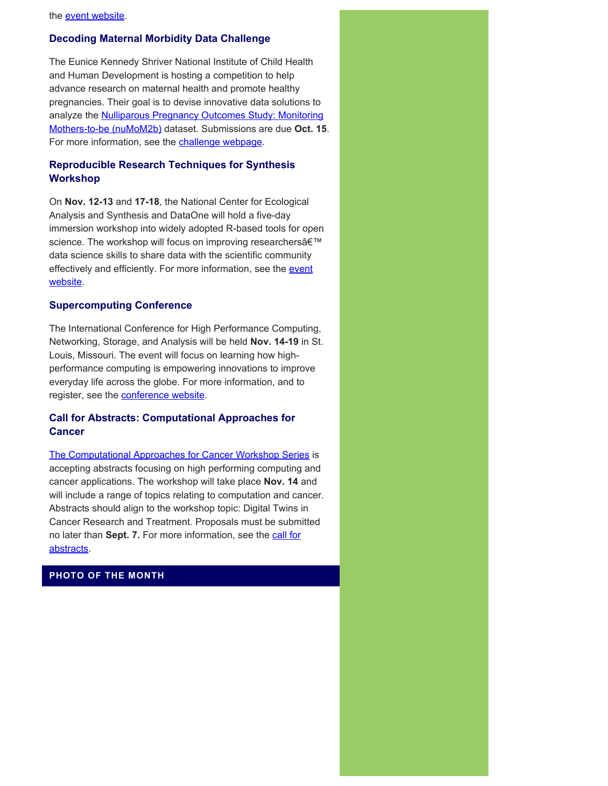#### **Decoding Maternal Morbidity Data Challenge**

The Eunice Kennedy Shriver National Institute of Child Health and Human Development is hosting a competition to help advance research on maternal health and promote healthy pregnancies. Their goal is to devise innovative data solutions to analyze the **Nulliparous Pregnancy Outcomes Study: Monitoring** [Mothers-to-be \(nuMoM2b\)](https://www.nichd.nih.gov/research/supported/nuMoM2b) dataset. Submissions are due **Oct. 15**. For more information, see the [challenge webpage](https://www.challenge.gov/challenge/decoding-maternal-morbidity-data-challenge/).

#### **Reproducible Research Techniques for Synthesis Workshop**

On **Nov. 12-13** and **17-18**, the National Center for Ecological Analysis and Synthesis and DataOne will hold a five-day immersion workshop into widely adopted R-based tools for open science. The workshop will focus on improving researchers' data science skills to share data with the scientific community effectively and efficiently. For more information, see the [event](https://www.dataone.org/training/#upcoming-training) [website.](https://www.dataone.org/training/#upcoming-training)

#### **Supercomputing Conference**

The International Conference for High Performance Computing, Networking, Storage, and Analysis will be held **Nov. 14-19** in St. Louis, Missouri. The event will focus on learning how highperformance computing is empowering innovations to improve everyday life across the globe. For more information, and to register, see the [conference website](https://sc21.supercomputing.org/).

#### **Call for Abstracts: Computational Approaches for Cancer**

[The Computational Approaches for Cancer Workshop Series](https://ncihub.org/groups/cafcw/cafcw21) is accepting abstracts focusing on high performing computing and cancer applications. The workshop will take place **Nov. 14** and will include a range of topics relating to computation and cancer. Abstracts should align to the workshop topic: Digital Twins in Cancer Research and Treatment. Proposals must be submitted no later than Sept. 7. For more information, see the [call for](https://ncihub.org/groups/cafcw/cafcw21/call_for_abstracts) [abstracts](https://ncihub.org/groups/cafcw/cafcw21/call_for_abstracts).

# **PHOTO OF THE MONTH**